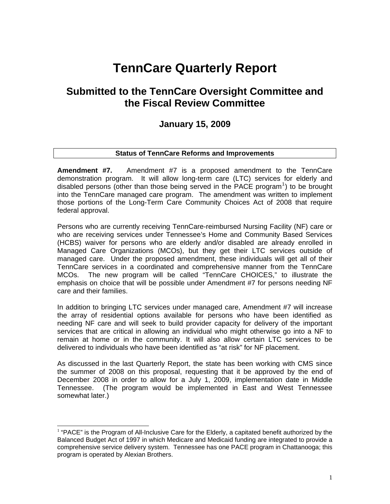## **TennCare Quarterly Report**

### **Submitted to the TennCare Oversight Committee and the Fiscal Review Committee**

#### **January 15, 2009**

#### **Status of TennCare Reforms and Improvements**

**Amendment #7.** Amendment #7 is a proposed amendment to the TennCare demonstration program. It will allow long-term care (LTC) services for elderly and disabled persons (other than those being served in the PACE program<sup>[1](#page-0-0)</sup>) to be brought into the TennCare managed care program. The amendment was written to implement those portions of the Long-Term Care Community Choices Act of 2008 that require federal approval.

Persons who are currently receiving TennCare-reimbursed Nursing Facility (NF) care or who are receiving services under Tennessee's Home and Community Based Services (HCBS) waiver for persons who are elderly and/or disabled are already enrolled in Managed Care Organizations (MCOs), but they get their LTC services outside of managed care. Under the proposed amendment, these individuals will get all of their TennCare services in a coordinated and comprehensive manner from the TennCare MCOs. The new program will be called "TennCare CHOICES," to illustrate the emphasis on choice that will be possible under Amendment #7 for persons needing NF care and their families.

In addition to bringing LTC services under managed care, Amendment #7 will increase the array of residential options available for persons who have been identified as needing NF care and will seek to build provider capacity for delivery of the important services that are critical in allowing an individual who might otherwise go into a NF to remain at home or in the community. It will also allow certain LTC services to be delivered to individuals who have been identified as "at risk" for NF placement.

As discussed in the last Quarterly Report, the state has been working with CMS since the summer of 2008 on this proposal, requesting that it be approved by the end of December 2008 in order to allow for a July 1, 2009, implementation date in Middle Tennessee. (The program would be implemented in East and West Tennessee somewhat later.)

 $\overline{a}$ 

<span id="page-0-0"></span> $<sup>1</sup>$  "PACE" is the Program of All-Inclusive Care for the Elderly, a capitated benefit authorized by the</sup> Balanced Budget Act of 1997 in which Medicare and Medicaid funding are integrated to provide a comprehensive service delivery system. Tennessee has one PACE program in Chattanooga; this program is operated by Alexian Brothers.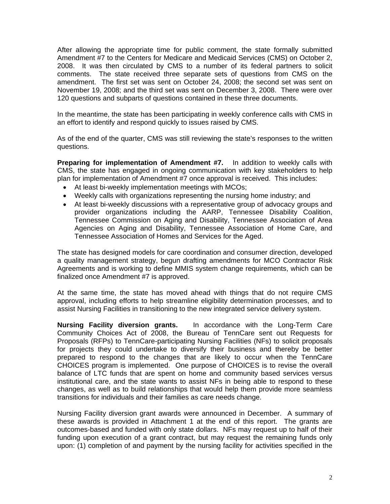After allowing the appropriate time for public comment, the state formally submitted Amendment #7 to the Centers for Medicare and Medicaid Services (CMS) on October 2, 2008. It was then circulated by CMS to a number of its federal partners to solicit comments. The state received three separate sets of questions from CMS on the amendment. The first set was sent on October 24, 2008; the second set was sent on November 19, 2008; and the third set was sent on December 3, 2008. There were over 120 questions and subparts of questions contained in these three documents.

In the meantime, the state has been participating in weekly conference calls with CMS in an effort to identify and respond quickly to issues raised by CMS.

As of the end of the quarter, CMS was still reviewing the state's responses to the written questions.

**Preparing for implementation of Amendment #7.** In addition to weekly calls with CMS, the state has engaged in ongoing communication with key stakeholders to help plan for implementation of Amendment #7 once approval is received. This includes:

- At least bi-weekly implementation meetings with MCOs;
- Weekly calls with organizations representing the nursing home industry; and
- At least bi-weekly discussions with a representative group of advocacy groups and provider organizations including the AARP, Tennessee Disability Coalition, Tennessee Commission on Aging and Disability, Tennessee Association of Area Agencies on Aging and Disability, Tennessee Association of Home Care, and Tennessee Association of Homes and Services for the Aged.

The state has designed models for care coordination and consumer direction, developed a quality management strategy, begun drafting amendments for MCO Contractor Risk Agreements and is working to define MMIS system change requirements, which can be finalized once Amendment #7 is approved.

At the same time, the state has moved ahead with things that do not require CMS approval, including efforts to help streamline eligibility determination processes, and to assist Nursing Facilities in transitioning to the new integrated service delivery system.

**Nursing Facility diversion grants.** In accordance with the Long-Term Care Community Choices Act of 2008, the Bureau of TennCare sent out Requests for Proposals (RFPs) to TennCare-participating Nursing Facilities (NFs) to solicit proposals for projects they could undertake to diversify their business and thereby be better prepared to respond to the changes that are likely to occur when the TennCare CHOICES program is implemented. One purpose of CHOICES is to revise the overall balance of LTC funds that are spent on home and community based services versus institutional care, and the state wants to assist NFs in being able to respond to these changes, as well as to build relationships that would help them provide more seamless transitions for individuals and their families as care needs change.

Nursing Facility diversion grant awards were announced in December. A summary of these awards is provided in Attachment 1 at the end of this report. The grants are outcomes-based and funded with only state dollars. NFs may request up to half of their funding upon execution of a grant contract, but may request the remaining funds only upon: (1) completion of and payment by the nursing facility for activities specified in the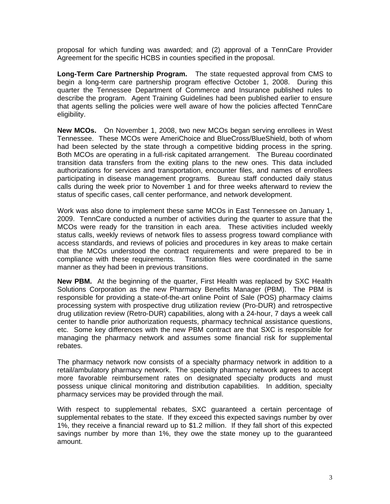proposal for which funding was awarded; and (2) approval of a TennCare Provider Agreement for the specific HCBS in counties specified in the proposal.

**Long-Term Care Partnership Program.** The state requested approval from CMS to begin a long-term care partnership program effective October 1, 2008. During this quarter the Tennessee Department of Commerce and Insurance published rules to describe the program. Agent Training Guidelines had been published earlier to ensure that agents selling the policies were well aware of how the policies affected TennCare eligibility.

**New MCOs.** On November 1, 2008, two new MCOs began serving enrollees in West Tennessee. These MCOs were AmeriChoice and BlueCross/BlueShield, both of whom had been selected by the state through a competitive bidding process in the spring. Both MCOs are operating in a full-risk capitated arrangement. The Bureau coordinated transition data transfers from the exiting plans to the new ones. This data included authorizations for services and transportation, encounter files, and names of enrollees participating in disease management programs. Bureau staff conducted daily status calls during the week prior to November 1 and for three weeks afterward to review the status of specific cases, call center performance, and network development.

Work was also done to implement these same MCOs in East Tennessee on January 1, 2009. TennCare conducted a number of activities during the quarter to assure that the MCOs were ready for the transition in each area. These activities included weekly status calls, weekly reviews of network files to assess progress toward compliance with access standards, and reviews of policies and procedures in key areas to make certain that the MCOs understood the contract requirements and were prepared to be in compliance with these requirements. Transition files were coordinated in the same manner as they had been in previous transitions.

**New PBM.** At the beginning of the quarter, First Health was replaced by SXC Health Solutions Corporation as the new Pharmacy Benefits Manager (PBM). The PBM is responsible for providing a state-of-the-art online Point of Sale (POS) pharmacy claims processing system with prospective drug utilization review (Pro-DUR) and retrospective drug utilization review (Retro-DUR) capabilities, along with a 24-hour, 7 days a week call center to handle prior authorization requests, pharmacy technical assistance questions, etc. Some key differences with the new PBM contract are that SXC is responsible for managing the pharmacy network and assumes some financial risk for supplemental rebates.

The pharmacy network now consists of a specialty pharmacy network in addition to a retail/ambulatory pharmacy network. The specialty pharmacy network agrees to accept more favorable reimbursement rates on designated specialty products and must possess unique clinical monitoring and distribution capabilities. In addition, specialty pharmacy services may be provided through the mail.

With respect to supplemental rebates, SXC guaranteed a certain percentage of supplemental rebates to the state. If they exceed this expected savings number by over 1%, they receive a financial reward up to \$1.2 million. If they fall short of this expected savings number by more than 1%, they owe the state money up to the guaranteed amount.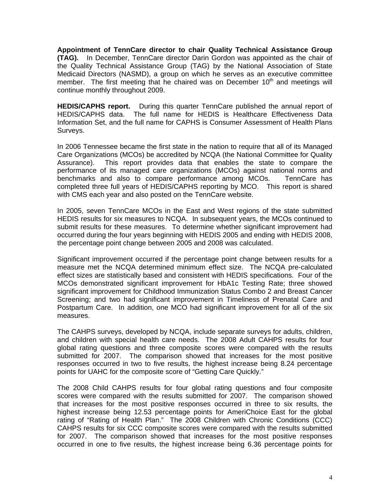**Appointment of TennCare director to chair Quality Technical Assistance Group (TAG).** In December, TennCare director Darin Gordon was appointed as the chair of the Quality Technical Assistance Group (TAG) by the National Association of State Medicaid Directors (NASMD), a group on which he serves as an executive committee member. The first meeting that he chaired was on December 10<sup>th</sup> and meetings will continue monthly throughout 2009.

**HEDIS/CAPHS report.** During this quarter TennCare published the annual report of HEDIS/CAPHS data. The full name for HEDIS is Healthcare Effectiveness Data Information Set, and the full name for CAPHS is Consumer Assessment of Health Plans Surveys.

In 2006 Tennessee became the first state in the nation to require that all of its Managed Care Organizations (MCOs) be accredited by NCQA (the National Committee for Quality Assurance). This report provides data that enables the state to compare the performance of its managed care organizations (MCOs) against national norms and benchmarks and also to compare performance among MCOs. TennCare has completed three full years of HEDIS/CAPHS reporting by MCO. This report is shared with CMS each year and also posted on the TennCare website.

In 2005, seven TennCare MCOs in the East and West regions of the state submitted HEDIS results for six measures to NCQA. In subsequent years, the MCOs continued to submit results for these measures. To determine whether significant improvement had occurred during the four years beginning with HEDIS 2005 and ending with HEDIS 2008, the percentage point change between 2005 and 2008 was calculated.

Significant improvement occurred if the percentage point change between results for a measure met the NCQA determined minimum effect size. The NCQA pre-calculated effect sizes are statistically based and consistent with HEDIS specifications. Four of the MCOs demonstrated significant improvement for HbA1c Testing Rate; three showed significant improvement for Childhood Immunization Status Combo 2 and Breast Cancer Screening; and two had significant improvement in Timeliness of Prenatal Care and Postpartum Care. In addition, one MCO had significant improvement for all of the six measures.

The CAHPS surveys, developed by NCQA, include separate surveys for adults, children, and children with special health care needs. The 2008 Adult CAHPS results for four global rating questions and three composite scores were compared with the results submitted for 2007. The comparison showed that increases for the most positive responses occurred in two to five results, the highest increase being 8.24 percentage points for UAHC for the composite score of "Getting Care Quickly."

The 2008 Child CAHPS results for four global rating questions and four composite scores were compared with the results submitted for 2007. The comparison showed that increases for the most positive responses occurred in three to six results, the highest increase being 12.53 percentage points for AmeriChoice East for the global rating of "Rating of Health Plan." The 2008 Children with Chronic Conditions (CCC) CAHPS results for six CCC composite scores were compared with the results submitted for 2007. The comparison showed that increases for the most positive responses occurred in one to five results, the highest increase being 6.36 percentage points for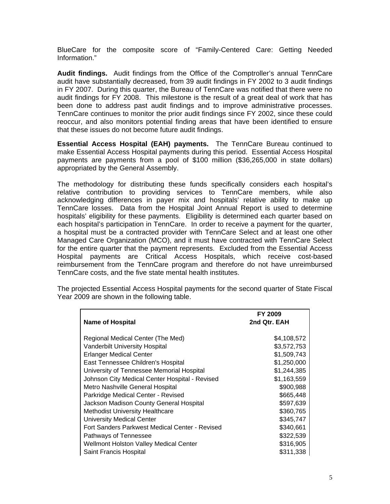BlueCare for the composite score of "Family-Centered Care: Getting Needed Information."

**Audit findings.** Audit findings from the Office of the Comptroller's annual TennCare audit have substantially decreased, from 39 audit findings in FY 2002 to 3 audit findings in FY 2007. During this quarter, the Bureau of TennCare was notified that there were no audit findings for FY 2008. This milestone is the result of a great deal of work that has been done to address past audit findings and to improve administrative processes. TennCare continues to monitor the prior audit findings since FY 2002, since these could reoccur, and also monitors potential finding areas that have been identified to ensure that these issues do not become future audit findings.

**Essential Access Hospital (EAH) payments.** The TennCare Bureau continued to make Essential Access Hospital payments during this period. Essential Access Hospital payments are payments from a pool of \$100 million (\$36,265,000 in state dollars) appropriated by the General Assembly.

The methodology for distributing these funds specifically considers each hospital's relative contribution to providing services to TennCare members, while also acknowledging differences in payer mix and hospitals' relative ability to make up TennCare losses. Data from the Hospital Joint Annual Report is used to determine hospitals' eligibility for these payments. Eligibility is determined each quarter based on each hospital's participation in TennCare. In order to receive a payment for the quarter, a hospital must be a contracted provider with TennCare Select and at least one other Managed Care Organization (MCO), and it must have contracted with TennCare Select for the entire quarter that the payment represents. Excluded from the Essential Access Hospital payments are Critical Access Hospitals, which receive cost-based reimbursement from the TennCare program and therefore do not have unreimbursed TennCare costs, and the five state mental health institutes.

|                                                | <b>FY 2009</b> |
|------------------------------------------------|----------------|
| <b>Name of Hospital</b>                        | 2nd Qtr. EAH   |
|                                                |                |
| Regional Medical Center (The Med)              | \$4,108,572    |
| <b>Vanderbilt University Hospital</b>          | \$3,572,753    |
| <b>Erlanger Medical Center</b>                 | \$1,509,743    |
| East Tennessee Children's Hospital             | \$1,250,000    |
| University of Tennessee Memorial Hospital      | \$1,244,385    |
| Johnson City Medical Center Hospital - Revised | \$1,163,559    |
| Metro Nashville General Hospital               | \$900,988      |
| Parkridge Medical Center - Revised             | \$665,448      |
| Jackson Madison County General Hospital        | \$597,639      |
| <b>Methodist University Healthcare</b>         | \$360,765      |
| <b>University Medical Center</b>               | \$345,747      |
| Fort Sanders Parkwest Medical Center - Revised | \$340,661      |
| Pathways of Tennessee                          | \$322,539      |
| <b>Wellmont Holston Valley Medical Center</b>  | \$316,905      |
| Saint Francis Hospital                         | \$311,338      |

The projected Essential Access Hospital payments for the second quarter of State Fiscal Year 2009 are shown in the following table.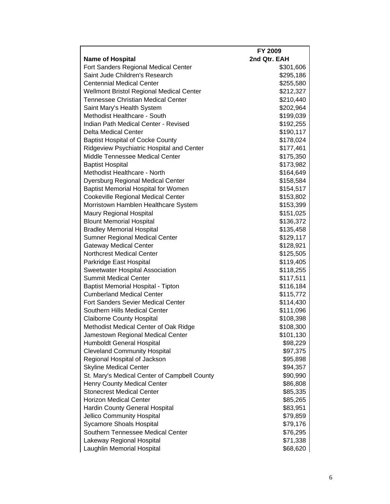|                                                 | FY 2009      |
|-------------------------------------------------|--------------|
| <b>Name of Hospital</b>                         | 2nd Qtr. EAH |
| Fort Sanders Regional Medical Center            | \$301,606    |
| Saint Jude Children's Research                  | \$295,186    |
| <b>Centennial Medical Center</b>                | \$255,580    |
| <b>Wellmont Bristol Regional Medical Center</b> | \$212,327    |
| <b>Tennessee Christian Medical Center</b>       | \$210,440    |
| Saint Mary's Health System                      | \$202,964    |
| Methodist Healthcare - South                    | \$199,039    |
| Indian Path Medical Center - Revised            | \$192,255    |
| <b>Delta Medical Center</b>                     | \$190,117    |
| <b>Baptist Hospital of Cocke County</b>         | \$178,024    |
| Ridgeview Psychiatric Hospital and Center       | \$177,461    |
| Middle Tennessee Medical Center                 | \$175,350    |
| <b>Baptist Hospital</b>                         | \$173,982    |
| Methodist Healthcare - North                    | \$164,649    |
| <b>Dyersburg Regional Medical Center</b>        | \$158,584    |
| <b>Baptist Memorial Hospital for Women</b>      | \$154,517    |
| <b>Cookeville Regional Medical Center</b>       | \$153,802    |
| Morristown Hamblen Healthcare System            | \$153,399    |
| Maury Regional Hospital                         | \$151,025    |
| <b>Blount Memorial Hospital</b>                 | \$136,372    |
| <b>Bradley Memorial Hospital</b>                | \$135,458    |
| Sumner Regional Medical Center                  | \$129,117    |
| <b>Gateway Medical Center</b>                   | \$128,921    |
| <b>Northcrest Medical Center</b>                | \$125,505    |
| Parkridge East Hospital                         | \$119,405    |
| Sweetwater Hospital Association                 | \$118,255    |
| <b>Summit Medical Center</b>                    | \$117,511    |
| <b>Baptist Memorial Hospital - Tipton</b>       | \$116,184    |
| <b>Cumberland Medical Center</b>                | \$115,772    |
| Fort Sanders Sevier Medical Center              | \$114,430    |
| Southern Hills Medical Center                   | \$111,096    |
| <b>Claiborne County Hospital</b>                | \$108,398    |
| Methodist Medical Center of Oak Ridge           | \$108,300    |
| Jamestown Regional Medical Center               | \$101,130    |
| Humboldt General Hospital                       | \$98,229     |
| <b>Cleveland Community Hospital</b>             | \$97,375     |
| Regional Hospital of Jackson                    | \$95,898     |
| <b>Skyline Medical Center</b>                   | \$94,357     |
| St. Mary's Medical Center of Campbell County    | \$90,990     |
| <b>Henry County Medical Center</b>              | \$86,808     |
| <b>Stonecrest Medical Center</b>                | \$85,335     |
| <b>Horizon Medical Center</b>                   | \$85,265     |
| Hardin County General Hospital                  | \$83,951     |
| Jellico Community Hospital                      | \$79,859     |
| Sycamore Shoals Hospital                        | \$79,176     |
| Southern Tennessee Medical Center               | \$76,295     |
| Lakeway Regional Hospital                       | \$71,338     |
| Laughlin Memorial Hospital                      | \$68,620     |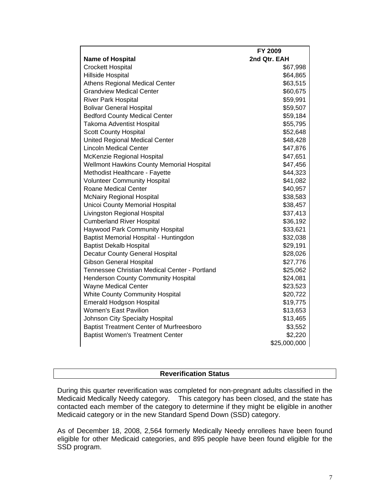|                                                  | FY 2009      |
|--------------------------------------------------|--------------|
| <b>Name of Hospital</b>                          | 2nd Qtr. EAH |
| <b>Crockett Hospital</b>                         | \$67,998     |
| Hillside Hospital                                | \$64,865     |
| <b>Athens Regional Medical Center</b>            | \$63,515     |
| <b>Grandview Medical Center</b>                  | \$60,675     |
| <b>River Park Hospital</b>                       | \$59,991     |
| <b>Bolivar General Hospital</b>                  | \$59,507     |
| <b>Bedford County Medical Center</b>             | \$59,184     |
| <b>Takoma Adventist Hospital</b>                 | \$55,795     |
| <b>Scott County Hospital</b>                     | \$52,648     |
| <b>United Regional Medical Center</b>            | \$48,428     |
| <b>Lincoln Medical Center</b>                    | \$47,876     |
| McKenzie Regional Hospital                       | \$47,651     |
| <b>Wellmont Hawkins County Memorial Hospital</b> | \$47,456     |
| Methodist Healthcare - Fayette                   | \$44,323     |
| <b>Volunteer Community Hospital</b>              | \$41,082     |
| <b>Roane Medical Center</b>                      | \$40,957     |
| <b>McNairy Regional Hospital</b>                 | \$38,583     |
| <b>Unicoi County Memorial Hospital</b>           | \$38,457     |
| Livingston Regional Hospital                     | \$37,413     |
| <b>Cumberland River Hospital</b>                 | \$36,192     |
| Haywood Park Community Hospital                  | \$33,621     |
| Baptist Memorial Hospital - Huntingdon           | \$32,038     |
| <b>Baptist Dekalb Hospital</b>                   | \$29,191     |
| <b>Decatur County General Hospital</b>           | \$28,026     |
| <b>Gibson General Hospital</b>                   | \$27,776     |
| Tennessee Christian Medical Center - Portland    | \$25,062     |
| <b>Henderson County Community Hospital</b>       | \$24,081     |
| <b>Wayne Medical Center</b>                      | \$23,523     |
| <b>White County Community Hospital</b>           | \$20,722     |
| <b>Emerald Hodgson Hospital</b>                  | \$19,775     |
| <b>Women's East Pavilion</b>                     | \$13,653     |
| Johnson City Specialty Hospital                  | \$13,465     |
| <b>Baptist Treatment Center of Murfreesboro</b>  | \$3,552      |
| <b>Baptist Women's Treatment Center</b>          | \$2,220      |
|                                                  | \$25,000,000 |

#### **Reverification Status**

During this quarter reverification was completed for non-pregnant adults classified in the Medicaid Medically Needy category. This category has been closed, and the state has contacted each member of the category to determine if they might be eligible in another Medicaid category or in the new Standard Spend Down (SSD) category.

As of December 18, 2008, 2,564 formerly Medically Needy enrollees have been found eligible for other Medicaid categories, and 895 people have been found eligible for the SSD program.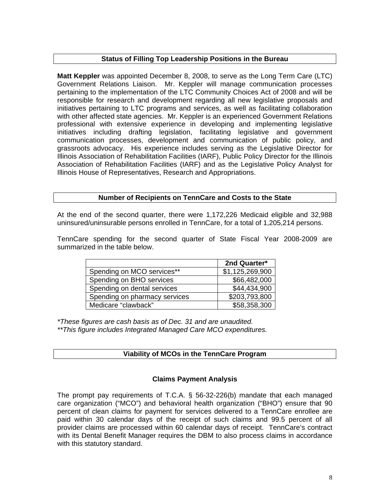#### **Status of Filling Top Leadership Positions in the Bureau**

**Matt Keppler** was appointed December 8, 2008, to serve as the Long Term Care (LTC) Government Relations Liaison. Mr. Keppler will manage communication processes pertaining to the implementation of the LTC Community Choices Act of 2008 and will be responsible for research and development regarding all new legislative proposals and initiatives pertaining to LTC programs and services, as well as facilitating collaboration with other affected state agencies. Mr. Keppler is an experienced Government Relations professional with extensive experience in developing and implementing legislative initiatives including drafting legislation, facilitating legislative and government communication processes, development and communication of public policy, and grassroots advocacy. His experience includes serving as the Legislative Director for Illinois Association of Rehabilitation Facilities (IARF), Public Policy Director for the Illinois Association of Rehabilitation Facilities (IARF) and as the Legislative Policy Analyst for Illinois House of Representatives, Research and Appropriations.

#### **Number of Recipients on TennCare and Costs to the State**

At the end of the second quarter, there were 1,172,226 Medicaid eligible and 32,988 uninsured/uninsurable persons enrolled in TennCare, for a total of 1,205,214 persons.

TennCare spending for the second quarter of State Fiscal Year 2008-2009 are summarized in the table below.

|                               | 2nd Quarter*    |
|-------------------------------|-----------------|
| Spending on MCO services**    | \$1,125,269,900 |
| Spending on BHO services      | \$66,482,000    |
| Spending on dental services   | \$44,434,900    |
| Spending on pharmacy services | \$203,793,800   |
| Medicare "clawback"           | \$58,358,300    |

*\*These figures are cash basis as of Dec. 31 and are unaudited. \*\*This figure includes Integrated Managed Care MCO expenditures.* 

#### **Viability of MCOs in the TennCare Program**

#### **Claims Payment Analysis**

The prompt pay requirements of T.C.A. § 56-32-226(b) mandate that each managed care organization ("MCO") and behavioral health organization ("BHO") ensure that 90 percent of clean claims for payment for services delivered to a TennCare enrollee are paid within 30 calendar days of the receipt of such claims and 99.5 percent of all provider claims are processed within 60 calendar days of receipt. TennCare's contract with its Dental Benefit Manager requires the DBM to also process claims in accordance with this statutory standard.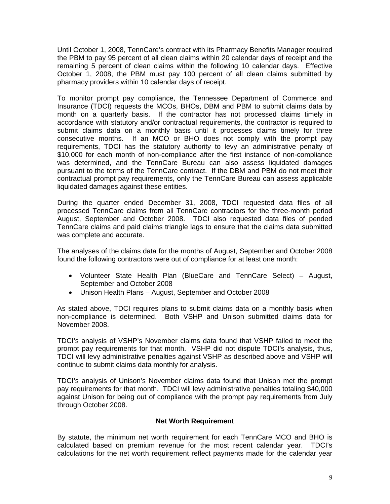Until October 1, 2008, TennCare's contract with its Pharmacy Benefits Manager required the PBM to pay 95 percent of all clean claims within 20 calendar days of receipt and the remaining 5 percent of clean claims within the following 10 calendar days. Effective October 1, 2008, the PBM must pay 100 percent of all clean claims submitted by pharmacy providers within 10 calendar days of receipt.

To monitor prompt pay compliance, the Tennessee Department of Commerce and Insurance (TDCI) requests the MCOs, BHOs, DBM and PBM to submit claims data by month on a quarterly basis. If the contractor has not processed claims timely in accordance with statutory and/or contractual requirements, the contractor is required to submit claims data on a monthly basis until it processes claims timely for three consecutive months. If an MCO or BHO does not comply with the prompt pay requirements, TDCI has the statutory authority to levy an administrative penalty of \$10,000 for each month of non-compliance after the first instance of non-compliance was determined, and the TennCare Bureau can also assess liquidated damages pursuant to the terms of the TennCare contract. If the DBM and PBM do not meet their contractual prompt pay requirements, only the TennCare Bureau can assess applicable liquidated damages against these entities.

During the quarter ended December 31, 2008, TDCI requested data files of all processed TennCare claims from all TennCare contractors for the three-month period August, September and October 2008. TDCI also requested data files of pended TennCare claims and paid claims triangle lags to ensure that the claims data submitted was complete and accurate.

The analyses of the claims data for the months of August, September and October 2008 found the following contractors were out of compliance for at least one month:

- Volunteer State Health Plan (BlueCare and TennCare Select) August, September and October 2008
- Unison Health Plans August, September and October 2008

As stated above, TDCI requires plans to submit claims data on a monthly basis when non-compliance is determined. Both VSHP and Unison submitted claims data for November 2008.

TDCI's analysis of VSHP's November claims data found that VSHP failed to meet the prompt pay requirements for that month. VSHP did not dispute TDCI's analysis, thus, TDCI will levy administrative penalties against VSHP as described above and VSHP will continue to submit claims data monthly for analysis.

TDCI's analysis of Unison's November claims data found that Unison met the prompt pay requirements for that month. TDCI will levy administrative penalties totaling \$40,000 against Unison for being out of compliance with the prompt pay requirements from July through October 2008.

#### **Net Worth Requirement**

By statute, the minimum net worth requirement for each TennCare MCO and BHO is calculated based on premium revenue for the most recent calendar year. TDCI's calculations for the net worth requirement reflect payments made for the calendar year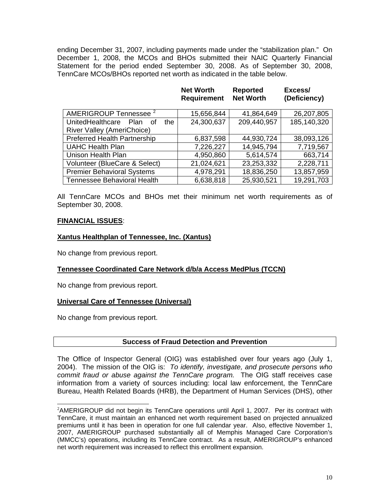ending December 31, 2007, including payments made under the "stabilization plan." On December 1, 2008, the MCOs and BHOs submitted their NAIC Quarterly Financial Statement for the period ended September 30, 2008. As of September 30, 2008, TennCare MCOs/BHOs reported net worth as indicated in the table below.

|                                               | <b>Net Worth</b><br><b>Requirement</b> | <b>Reported</b><br><b>Net Worth</b> | Excess/<br>(Deficiency) |
|-----------------------------------------------|----------------------------------------|-------------------------------------|-------------------------|
| <b>AMERIGROUP Tennessee</b>                   | 15,656,844                             | 41,864,649                          | 26,207,805              |
| UnitedHealthcare<br>the.<br><b>Plan</b><br>Ωf | 24,300,637                             | 209,440,957                         | 185,140,320             |
| <b>River Valley (AmeriChoice)</b>             |                                        |                                     |                         |
| <b>Preferred Health Partnership</b>           | 6,837,598                              | 44,930,724                          | 38,093,126              |
| <b>UAHC Health Plan</b>                       | 7,226,227                              | 14,945,794                          | 7,719,567               |
| <b>Unison Health Plan</b>                     | 4,950,860                              | 5,614,574                           | 663,714                 |
| Volunteer (BlueCare & Select)                 | 21,024,621                             | 23,253,332                          | 2,228,711               |
| <b>Premier Behavioral Systems</b>             | 4,978,291                              | 18,836,250                          | 13,857,959              |
| <b>Tennessee Behavioral Health</b>            | 6,638,818                              | 25,930,521                          | 19,291,703              |

All TennCare MCOs and BHOs met their minimum net worth requirements as of September 30, 2008.

#### **FINANCIAL ISSUES**:

#### **Xantus Healthplan of Tennessee, Inc. (Xantus)**

No change from previous report.

#### **Tennessee Coordinated Care Network d/b/a Access MedPlus (TCCN)**

No change from previous report.

#### **Universal Care of Tennessee (Universal)**

No change from previous report.

#### **Success of Fraud Detection and Prevention**

The Office of Inspector General (OIG) was established over four years ago (July 1, 2004). The mission of the OIG is: *To identify, investigate, and prosecute persons who commit fraud or abuse against the TennCare program.* The OIG staff receives case information from a variety of sources including: local law enforcement, the TennCare Bureau, Health Related Boards (HRB), the Department of Human Services (DHS), other

<span id="page-9-0"></span> $\overline{a}$ <sup>2</sup>AMERIGROUP did not begin its TennCare operations until April 1, 2007. Per its contract with TennCare, it must maintain an enhanced net worth requirement based on projected annualized premiums until it has been in operation for one full calendar year. Also, effective November 1, 2007, AMERIGROUP purchased substantially all of Memphis Managed Care Corporation's (MMCC's) operations, including its TennCare contract. As a result, AMERIGROUP's enhanced net worth requirement was increased to reflect this enrollment expansion.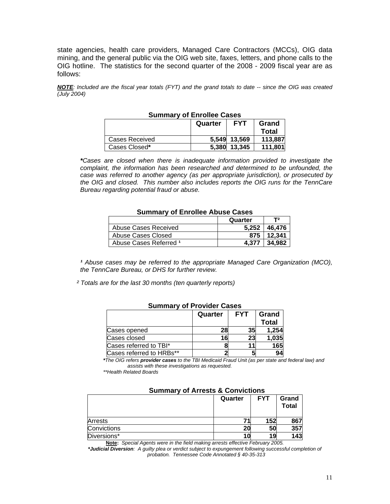state agencies, health care providers, Managed Care Contractors (MCCs), OIG data mining, and the general public via the OIG web site, faxes, letters, and phone calls to the OIG hotline. The statistics for the second quarter of the 2008 - 2009 fiscal year are as follows:

*NOTE: Included are the fiscal year totals (FYT) and the grand totals to date -- since the OIG was created (July 2004)* 

| <b>SUILING YOU LITERED CASES</b> |         |              |              |
|----------------------------------|---------|--------------|--------------|
|                                  | Quarter | <b>FYT</b>   | Grand        |
|                                  |         |              | <b>Total</b> |
| Cases Received                   |         | 5.549 13.569 | 113,887      |
| Cases Closed*                    |         | 5.380 13.345 | 111,801      |

#### **Summary of Enrollee Cases**

*\*Cases are closed when there is inadequate information provided to investigate the complaint, the information has been researched and determined to be unfounded, the case was referred to another agency (as per appropriate jurisdiction), or prosecuted by the OIG and closed. This number also includes reports the OIG runs for the TennCare Bureau regarding potential fraud or abuse.* 

#### **Summary of Enrollee Abuse Cases**

|                        | Quarter | T2     |
|------------------------|---------|--------|
| Abuse Cases Received   | 5.252   | 46.476 |
| Abuse Cases Closed     | 875     | 12.341 |
| Abuse Cases Referred 1 | 4.377   | 34.982 |

<sup>1</sup> Abuse cases may be referred to the appropriate Managed Care Organization (MCO), *the TennCare Bureau, or DHS for further review.* 

 *² Totals are for the last 30 months (ten quarterly reports)* 

| --------- |            |              |  |
|-----------|------------|--------------|--|
| Quarter   | <b>FYT</b> | Grand        |  |
|           |            | <b>Total</b> |  |
| 28        |            | 1,254        |  |
| 16        |            | 1,035        |  |
|           |            | 165          |  |
|           |            | 94           |  |
|           |            | 35<br>23     |  |

#### **Summary of Provider Cases**

*\*The OIG refers provider cases to the TBI Medicaid Fraud Unit (as per state and federal law) and assists with these investigations as requested.* 

 *\*\*Health Related Boards* 

| <b>SUITINGLY OF ALL CALLS &amp; COLLYIGHOLIS</b> |            |                       |  |
|--------------------------------------------------|------------|-----------------------|--|
| Quarter                                          | <b>FYT</b> | Grand<br><b>Total</b> |  |
|                                                  | 152        | 867                   |  |
| 20                                               | 50         | 357                   |  |
|                                                  | 19         | 143                   |  |
|                                                  |            |                       |  |

#### **Summary of Arrests & Convictions**

**Note:** *Special Agents were in the field making arrests effective February 2005. \*Judicial Diversion: A guilty plea or verdict subject to expungement following successful completion of* 

*probation. Tennessee Code Annotated § 40-35-313*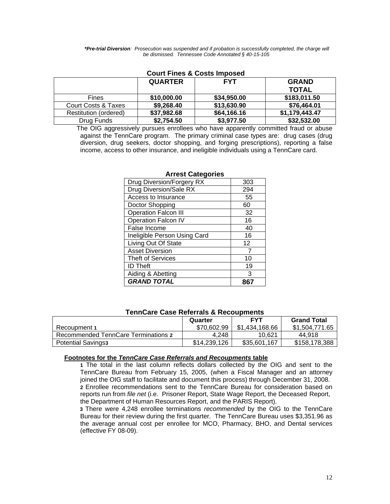*\*Pre-trial Diversion: Prosecution was suspended and if probation is successfully completed, the charge will be dismissed. Tennessee Code Annotated § 40-15-105* 

|                       | <b>QUARTER</b> | <b>FYT</b>  | <b>GRAND</b>   |  |
|-----------------------|----------------|-------------|----------------|--|
|                       |                |             | <b>TOTAL</b>   |  |
| <b>Fines</b>          | \$10,000.00    | \$34,950.00 | \$183,011.50   |  |
| Court Costs & Taxes   | \$9,268.40     | \$13,630.90 | \$76,464.01    |  |
| Restitution (ordered) | \$37,982.68    | \$64,166.16 | \$1,179,443.47 |  |
| Drug Funds            | \$2,754.50     | \$3,977.50  | \$32,532.00    |  |

#### **Court Fines & Costs Imposed**

The OIG aggressively pursues enrollees who have apparently committed fraud or abuse against the TennCare program. The primary criminal case types are: drug cases (drug diversion, drug seekers, doctor shopping, and forging prescriptions), reporting a false income, access to other insurance, and ineligible individuals using a TennCare card.

| Drug Diversion/Forgery RX    | 303 |
|------------------------------|-----|
| Drug Diversion/Sale RX       | 294 |
| Access to Insurance          | 55  |
| Doctor Shopping              | 60  |
| <b>Operation Falcon III</b>  | 32  |
| <b>Operation Falcon IV</b>   | 16  |
| False Income                 | 40  |
| Ineligible Person Using Card | 16  |
| Living Out Of State          | 12  |
| <b>Asset Diversion</b>       | 7   |
| <b>Theft of Services</b>     | 10  |
| <b>ID Theft</b>              | 19  |
| Aiding & Abetting            | 3   |
| <b>GRAND TOTAL</b>           |     |

#### **Arrest Categories**

|                                     | Quarter      | <b>FYT</b>     | <b>Grand Total</b> |
|-------------------------------------|--------------|----------------|--------------------|
| Recoupment 1                        | \$70,602.99  | \$1.434.168.66 | \$1,504,771.65     |
| Recommended TennCare Terminations 2 | 4.248        | 10.621         | 44.918             |
| <b>Potential Savings3</b>           | \$14,239,126 | \$35,601.167   | \$158,178,388      |

#### **Footnotes for the** *TennCare Case Referrals and Recoupments* **table**

 **1** The total in the last column reflects dollars collected by the OIG and sent to the TennCare Bureau from February 15, 2005, (when a Fiscal Manager and an attorney joined the OIG staff to facilitate and document this process) through December 31, 2008.  **2** Enrollee recommendations sent to the TennCare Bureau for consideration based on reports run from *file net* (i.e. Prisoner Report, State Wage Report, the Deceased Report, the Department of Human Resources Report, and the PARIS Report).

 **3** There were 4,248 enrollee terminations *recommended* by the OIG to the TennCare Bureau for their review during the first quarter. The TennCare Bureau uses \$3,351.96 as the average annual cost per enrollee for MCO, Pharmacy, BHO, and Dental services (effective FY 08-09).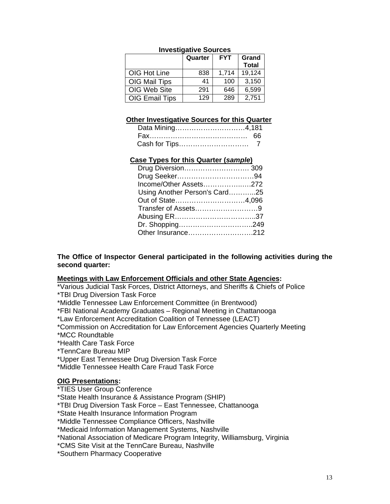|                       | Quarter | <b>FYT</b> | Grand<br><b>Total</b> |
|-----------------------|---------|------------|-----------------------|
| OIG Hot Line          | 838     | 1.714      | 19,124                |
| OIG Mail Tips         | 41      | 100        | 3,150                 |
| OIG Web Site          | 291     | 646        | 6,599                 |
| <b>OIG Email Tips</b> | 129     | 289        | 2,751                 |

#### **Investigative Sources**

#### **Other Investigative Sources for this Quarter**

| Data Mining4,181 |  |
|------------------|--|
|                  |  |
|                  |  |

#### **Case Types for this Quarter (***sample***)**

| Drug Diversion 309            |  |
|-------------------------------|--|
|                               |  |
| Income/Other Assets272        |  |
| Using Another Person's Card25 |  |
| Out of State4,096             |  |
|                               |  |
|                               |  |
|                               |  |
| Other Insurance212            |  |

#### **The Office of Inspector General participated in the following activities during the second quarter:**

#### **Meetings with Law Enforcement Officials and other State Agencies:**

\*Various Judicial Task Forces, District Attorneys, and Sheriffs & Chiefs of Police \*TBI Drug Diversion Task Force

\*Middle Tennessee Law Enforcement Committee (in Brentwood)

\*FBI National Academy Graduates – Regional Meeting in Chattanooga

\*Law Enforcement Accreditation Coalition of Tennessee (LEACT)

\*Commission on Accreditation for Law Enforcement Agencies Quarterly Meeting

\*MCC Roundtable

\*Health Care Task Force

\*TennCare Bureau MIP

\*Upper East Tennessee Drug Diversion Task Force

\*Middle Tennessee Health Care Fraud Task Force

#### **OIG Presentations:**

\*TIES User Group Conference

\*State Health Insurance & Assistance Program (SHIP)

\*TBI Drug Diversion Task Force – East Tennessee, Chattanooga

\*State Health Insurance Information Program

\*Middle Tennessee Compliance Officers, Nashville

\*Medicaid Information Management Systems, Nashville

\*National Association of Medicare Program Integrity, Williamsburg, Virginia

\*CMS Site Visit at the TennCare Bureau, Nashville

\*Southern Pharmacy Cooperative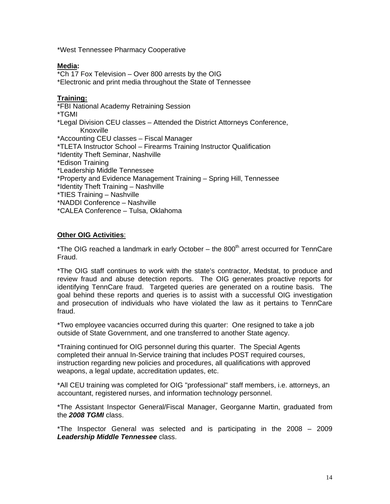\*West Tennessee Pharmacy Cooperative

#### **Media:**

\*Ch 17 Fox Television – Over 800 arrests by the OIG \*Electronic and print media throughout the State of Tennessee

#### **Training:**

\*FBI National Academy Retraining Session \*TGMI \*Legal Division CEU classes – Attended the District Attorneys Conference, Knoxville \*Accounting CEU classes – Fiscal Manager \*TLETA Instructor School – Firearms Training Instructor Qualification \*Identity Theft Seminar, Nashville \*Edison Training \*Leadership Middle Tennessee \*Property and Evidence Management Training – Spring Hill, Tennessee \*Identity Theft Training – Nashville \*TIES Training – Nashville \*NADDI Conference – Nashville \*CALEA Conference – Tulsa, Oklahoma

#### **Other OIG Activities**:

\*The OIG reached a landmark in early October  $-$  the 800<sup>th</sup> arrest occurred for TennCare Fraud.

\*The OIG staff continues to work with the state's contractor, Medstat, to produce and review fraud and abuse detection reports. The OIG generates proactive reports for identifying TennCare fraud. Targeted queries are generated on a routine basis. The goal behind these reports and queries is to assist with a successful OIG investigation and prosecution of individuals who have violated the law as it pertains to TennCare fraud.

\*Two employee vacancies occurred during this quarter: One resigned to take a job outside of State Government, and one transferred to another State agency.

\*Training continued for OIG personnel during this quarter. The Special Agents completed their annual In-Service training that includes POST required courses, instruction regarding new policies and procedures, all qualifications with approved weapons, a legal update, accreditation updates, etc.

\*All CEU training was completed for OIG "professional" staff members, i.e. attorneys, an accountant, registered nurses, and information technology personnel.

\*The Assistant Inspector General/Fiscal Manager, Georganne Martin, graduated from the *2008 TGMI* class.

\*The Inspector General was selected and is participating in the 2008 – 2009 *Leadership Middle Tennessee* class.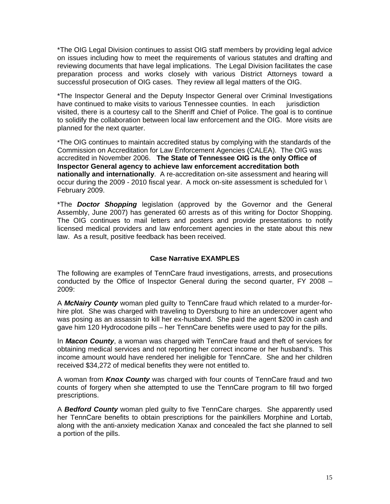\*The OIG Legal Division continues to assist OIG staff members by providing legal advice on issues including how to meet the requirements of various statutes and drafting and reviewing documents that have legal implications. The Legal Division facilitates the case preparation process and works closely with various District Attorneys toward a successful prosecution of OIG cases. They review all legal matters of the OIG.

\*The Inspector General and the Deputy Inspector General over Criminal Investigations have continued to make visits to various Tennessee counties. In each jurisdiction visited, there is a courtesy call to the Sheriff and Chief of Police. The goal is to continue to solidify the collaboration between local law enforcement and the OIG. More visits are planned for the next quarter. İ

\*The OIG continues to maintain accredited status by complying with the standards of the Commission on Accreditation for Law Enforcement Agencies (CALEA). The OIG was accredited in November 2006. **The State of Tennessee OIG is the only Office of Inspector General agency to achieve law enforcement accreditation both nationally and internationally**. A re-accreditation on-site assessment and hearing will occur during the 2009 - 2010 fiscal year. A mock on-site assessment is scheduled for \ February 2009.

\*The *Doctor Shopping* legislation (approved by the Governor and the General Assembly, June 2007) has generated 60 arrests as of this writing for Doctor Shopping. The OIG continues to mail letters and posters and provide presentations to notify licensed medical providers and law enforcement agencies in the state about this new law. As a result, positive feedback has been received.

#### **Case Narrative EXAMPLES**

The following are examples of TennCare fraud investigations, arrests, and prosecutions conducted by the Office of Inspector General during the second quarter, FY 2008 – 2009:

A *McNairy County* woman pled guilty to TennCare fraud which related to a murder-forhire plot. She was charged with traveling to Dyersburg to hire an undercover agent who was posing as an assassin to kill her ex-husband. She paid the agent \$200 in cash and gave him 120 Hydrocodone pills – her TennCare benefits were used to pay for the pills.

In *Macon County*, a woman was charged with TennCare fraud and theft of services for obtaining medical services and not reporting her correct income or her husband's. This income amount would have rendered her ineligible for TennCare. She and her children received \$34,272 of medical benefits they were not entitled to.

A woman from *Knox County* was charged with four counts of TennCare fraud and two counts of forgery when she attempted to use the TennCare program to fill two forged prescriptions.

A *Bedford County* woman pled guilty to five TennCare charges. She apparently used her TennCare benefits to obtain prescriptions for the painkillers Morphine and Lortab, along with the anti-anxiety medication Xanax and concealed the fact she planned to sell a portion of the pills.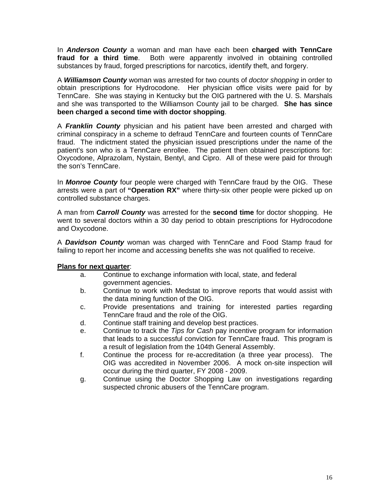In *Anderson County* a woman and man have each been **charged with TennCare fraud for a third time**. Both were apparently involved in obtaining controlled substances by fraud, forged prescriptions for narcotics, identify theft, and forgery.

A *Williamson County* woman was arrested for two counts of *doctor shopping* in order to obtain prescriptions for Hydrocodone. Her physician office visits were paid for by TennCare. She was staying in Kentucky but the OIG partnered with the U. S. Marshals and she was transported to the Williamson County jail to be charged. **She has since been charged a second time with doctor shopping**.

A *Franklin County* physician and his patient have been arrested and charged with criminal conspiracy in a scheme to defraud TennCare and fourteen counts of TennCare fraud. The indictment stated the physician issued prescriptions under the name of the patient's son who is a TennCare enrollee. The patient then obtained prescriptions for: Oxycodone, Alprazolam, Nystain, Bentyl, and Cipro. All of these were paid for through the son's TennCare.

In *Monroe County* four people were charged with TennCare fraud by the OIG. These arrests were a part of **"Operation RX"** where thirty-six other people were picked up on controlled substance charges.

A man from *Carroll County* was arrested for the **second time** for doctor shopping. He went to several doctors within a 30 day period to obtain prescriptions for Hydrocodone and Oxycodone.

A *Davidson County* woman was charged with TennCare and Food Stamp fraud for failing to report her income and accessing benefits she was not qualified to receive.

#### **Plans for next quarter**:

- a. Continue to exchange information with local, state, and federal government agencies.
- b. Continue to work with Medstat to improve reports that would assist with the data mining function of the OIG.
- c. Provide presentations and training for interested parties regarding TennCare fraud and the role of the OIG.
- d. Continue staff training and develop best practices.
- e. Continue to track the *Tips for Cash* pay incentive program for information that leads to a successful conviction for TennCare fraud. This program is a result of legislation from the 104th General Assembly.
- f. Continue the process for re-accreditation (a three year process). The OIG was accredited in November 2006. A mock on-site inspection will occur during the third quarter, FY 2008 - 2009.
- g. Continue using the Doctor Shopping Law on investigations regarding suspected chronic abusers of the TennCare program.